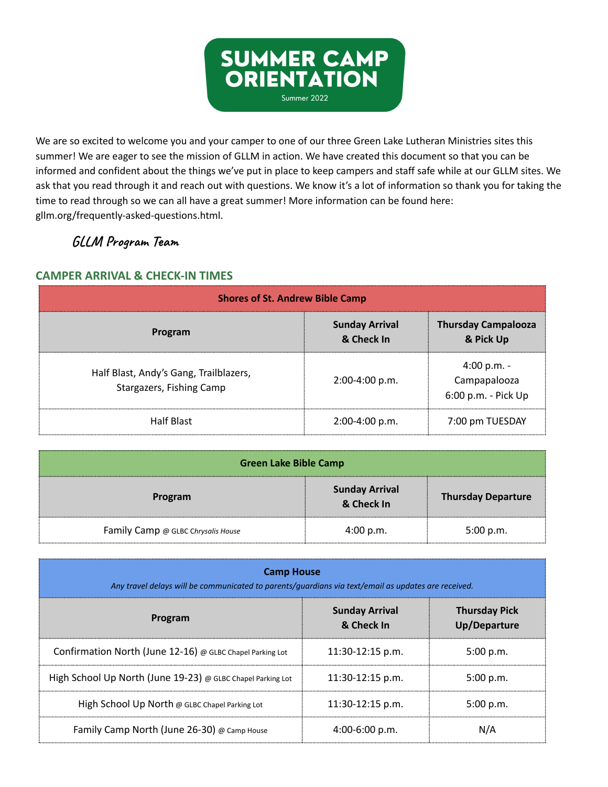

We are so excited to welcome you and your camper to one of our three Green Lake Lutheran Ministries sites this summer! We are eager to see the mission of GLLM in action. We have created this document so that you can be informed and confident about the things we've put in place to keep campers and staff safe while at our GLLM sites. We ask that you read through it and reach out with questions. We know it's a lot of information so thank you for taking the time to read through so we can all have a great summer! More information can be found here: [gllm.org/frequently-asked-questions.html](https://www.gllm.org/frequently-asked-questions.html).

# **GLLM Program Team**

# **CAMPER ARRIVAL & CHECK-IN TIMES**

| <b>Shores of St. Andrew Bible Camp</b>                             |                                     |                                                    |  |  |
|--------------------------------------------------------------------|-------------------------------------|----------------------------------------------------|--|--|
| Program                                                            | <b>Sunday Arrival</b><br>& Check In | <b>Thursday Campalooza</b><br>& Pick Up            |  |  |
| Half Blast, Andy's Gang, Trailblazers,<br>Stargazers, Fishing Camp | $2:00-4:00 p.m.$                    | 4:00 p.m. -<br>Campapalooza<br>6:00 p.m. - Pick Up |  |  |
| <b>Half Blast</b>                                                  | 2:00-4:00 p.m.                      | 7:00 pm TUESDAY                                    |  |  |

| <b>Green Lake Bible Camp</b>       |                                     |                           |  |  |
|------------------------------------|-------------------------------------|---------------------------|--|--|
| Program                            | <b>Sunday Arrival</b><br>& Check In | <b>Thursday Departure</b> |  |  |
| Family Camp @ GLBC Chrysalis House | 4:00 p.m.                           | 5:00 p.m.                 |  |  |

| <b>Camp House</b><br>Any travel delays will be communicated to parents/quardians via text/email as updates are received. |                                     |                                      |  |  |
|--------------------------------------------------------------------------------------------------------------------------|-------------------------------------|--------------------------------------|--|--|
| Program                                                                                                                  | <b>Sunday Arrival</b><br>& Check In | <b>Thursday Pick</b><br>Up/Departure |  |  |
| Confirmation North (June 12-16) @ GLBC Chapel Parking Lot                                                                | $11:30-12:15$ p.m.                  | 5:00 p.m.                            |  |  |
| High School Up North (June 19-23) @ GLBC Chapel Parking Lot                                                              | $11:30-12:15$ p.m.                  | 5:00 p.m.                            |  |  |
| High School Up North @ GLBC Chapel Parking Lot                                                                           | $11:30-12:15$ p.m.                  | 5:00 p.m.                            |  |  |
| Family Camp North (June 26-30) @ Camp House                                                                              | $4:00-6:00$ p.m.                    | N/A                                  |  |  |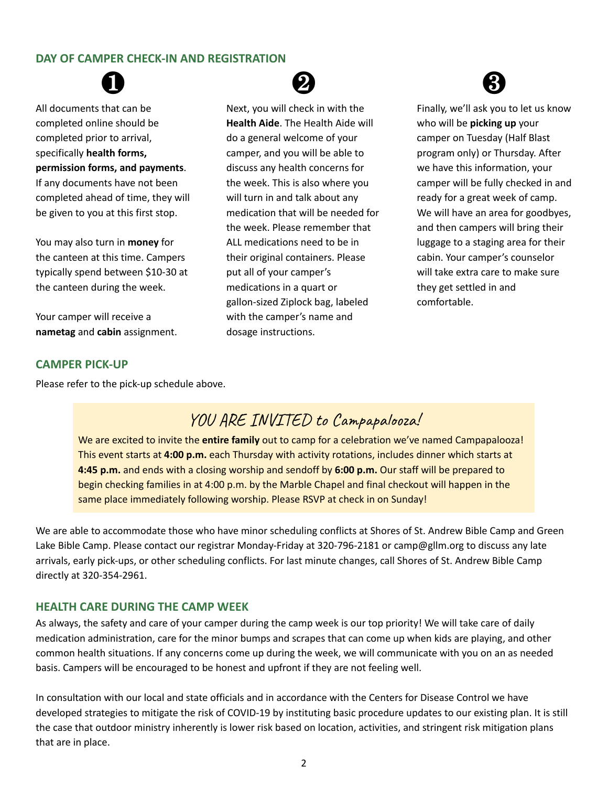## **DAY OF CAMPER CHECK-IN AND REGISTRATION**

❶ All documents that can be completed online should be completed prior to arrival, specifically **health forms, permission forms, and payments**. If any documents have not been completed ahead of time, they will be given to you at this first stop.

You may also turn in **money** for the canteen at this time. Campers typically spend between \$10-30 at the canteen during the week.

Your camper will receive a **nametag** and **cabin** assignment.

# Next, you will check in with the **Health Aide**. The Health Aide will do a general welcome of your camper, and you will be able to discuss any health concerns for the week. This is also where you will turn in and talk about any medication that will be needed for the week. Please remember that ALL medications need to be in their original containers. Please put all of your camper's medications in a quart or gallon-sized Ziplock bag, labeled with the camper's name and dosage instructions.

❷



Finally, we'll ask you to let us know who will be **picking up** your camper on Tuesday (Half Blast program only) or Thursday. After we have this information, your camper will be fully checked in and ready for a great week of camp. We will have an area for goodbyes, and then campers will bring their luggage to a staging area for their cabin. Your camper's counselor will take extra care to make sure they get settled in and comfortable.

#### **CAMPER PICK-UP**

Please refer to the pick-up schedule above.

# YOU ARE INVITED to Campapalooza!

We are excited to invite the **entire family** out to camp for a celebration we've named Campapalooza! This event starts at **4:00 p.m.** each Thursday with activity rotations, includes dinner which starts at **4:45 p.m.** and ends with a closing worship and sendoff by **6:00 p.m.** Our staff will be prepared to begin checking families in at 4:00 p.m. by the Marble Chapel and final checkout will happen in the same place immediately following worship. Please RSVP at check in on Sunday!

We are able to accommodate those who have minor scheduling conflicts at Shores of St. Andrew Bible Camp and Green Lake Bible Camp. Please contact our registrar Monday-Friday at 320-796-2181 or camp@gllm.org to discuss any late arrivals, early pick-ups, or other scheduling conflicts. For last minute changes, call Shores of St. Andrew Bible Camp directly at 320-354-2961.

#### **HEALTH CARE DURING THE CAMP WEEK**

As always, the safety and care of your camper during the camp week is our top priority! We will take care of daily medication administration, care for the minor bumps and scrapes that can come up when kids are playing, and other common health situations. If any concerns come up during the week, we will communicate with you on an as needed basis. Campers will be encouraged to be honest and upfront if they are not feeling well.

In consultation with our local and state officials and in accordance with the Centers for Disease Control we have developed strategies to mitigate the risk of COVID-19 by instituting basic procedure updates to our existing plan. It is still the case that outdoor ministry inherently is lower risk based on location, activities, and stringent risk mitigation plans that are in place.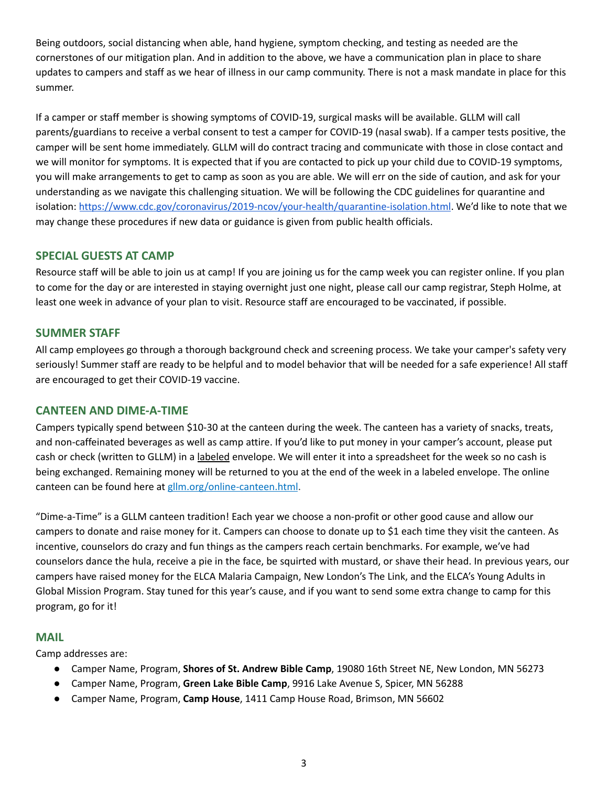Being outdoors, social distancing when able, hand hygiene, symptom checking, and testing as needed are the cornerstones of our mitigation plan. And in addition to the above, we have a communication plan in place to share updates to campers and staff as we hear of illness in our camp community. There is not a mask mandate in place for this summer.

If a camper or staff member is showing symptoms of COVID-19, surgical masks will be available. GLLM will call parents/guardians to receive a verbal consent to test a camper for COVID-19 (nasal swab). If a camper tests positive, the camper will be sent home immediately. GLLM will do contract tracing and communicate with those in close contact and we will monitor for symptoms. It is expected that if you are contacted to pick up your child due to COVID-19 symptoms, you will make arrangements to get to camp as soon as you are able. We will err on the side of caution, and ask for your understanding as we navigate this challenging situation. We will be following the CDC guidelines for quarantine and isolation: <https://www.cdc.gov/coronavirus/2019-ncov/your-health/quarantine-isolation.html>. We'd like to note that we may change these procedures if new data or guidance is given from public health officials.

## **SPECIAL GUESTS AT CAMP**

Resource staff will be able to join us at camp! If you are joining us for the camp week you can register online. If you plan to come for the day or are interested in staying overnight just one night, please call our camp registrar, Steph Holme, at least one week in advance of your plan to visit. Resource staff are encouraged to be vaccinated, if possible.

## **SUMMER STAFF**

All camp employees go through a thorough background check and screening process. We take your camper's safety very seriously! Summer staff are ready to be helpful and to model behavior that will be needed for a safe experience! All staff are encouraged to get their COVID-19 vaccine.

## **CANTEEN AND DIME-A-TIME**

Campers typically spend between \$10-30 at the canteen during the week. The canteen has a variety of snacks, treats, and non-caffeinated beverages as well as camp attire. If you'd like to put money in your camper's account, please put cash or check (written to GLLM) in a labeled envelope. We will enter it into a spreadsheet for the week so no cash is being exchanged. Remaining money will be returned to you at the end of the week in a labeled envelope. The online canteen can be found here at gllm.org/online-canteen.html.

"Dime-a-Time" is a GLLM canteen tradition! Each year we choose a non-profit or other good cause and allow our campers to donate and raise money for it. Campers can choose to donate up to \$1 each time they visit the canteen. As incentive, counselors do crazy and fun things as the campers reach certain benchmarks. For example, we've had counselors dance the hula, receive a pie in the face, be squirted with mustard, or shave their head. In previous years, our campers have raised money for the ELCA Malaria Campaign, New London's The Link, and the ELCA's Young Adults in Global Mission Program. Stay tuned for this year's cause, and if you want to send some extra change to camp for this program, go for it!

## **MAIL**

Camp addresses are:

- Camper Name, Program, **Shores of St. Andrew Bible Camp**, 19080 16th Street NE, New London, MN 56273
- Camper Name, Program, **Green Lake Bible Camp**, 9916 Lake Avenue S, Spicer, MN 56288
- Camper Name, Program, **Camp House**, 1411 Camp House Road, Brimson, MN 56602